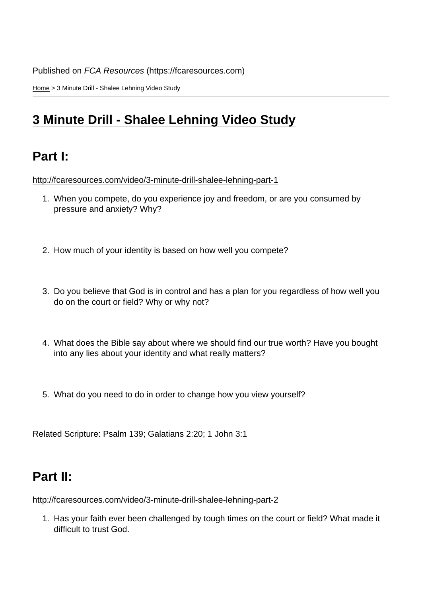Home > 3 Minute Drill - Shalee Lehning Video Study

# [3 M](https://fcaresources.com/)inute Drill - Shalee Lehning Video Study

## [Part I:](https://fcaresources.com/bible-study/3-minute-drill-shalee-lehning-video-study)

http://fcaresources.com/video/3-minute-drill-shalee-lehning-part-1

- 1. When you compete, do you experience joy and freedom, or are you consumed by [pressure and anxiety? Why?](http://fcaresources.com/video/3-minute-drill-shalee-lehning-part-1)
- 2. How much of your identity is based on how well you compete?
- 3. Do you believe that God is in control and has a plan for you regardless of how well you do on the court or field? Why or why not?
- 4. What does the Bible say about where we should find our true worth? Have you bought into any lies about your identity and what really matters?
- 5. What do you need to do in order to change how you view yourself?

Related Scripture: Psalm 139; Galatians 2:20; 1 John 3:1

#### Part II:

http://fcaresources.com/video/3-minute-drill-shalee-lehning-part-2

1. Has your faith ever been challenged by tough times on the court or field? What made it [difficult to trust God.](http://fcaresources.com/video/3-minute-drill-shalee-lehning-part-2)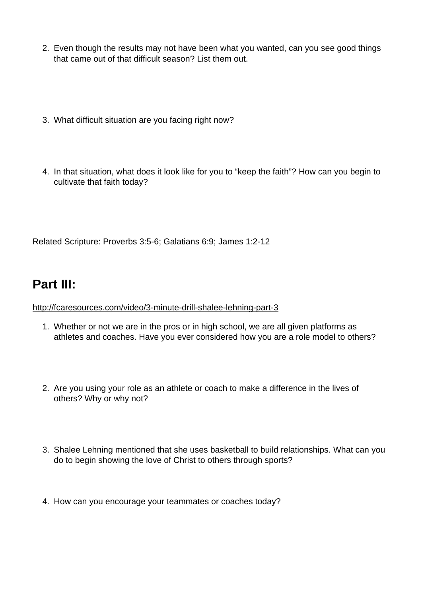- 2. Even though the results may not have been what you wanted, can you see good things that came out of that difficult season? List them out.
- 3. What difficult situation are you facing right now?
- 4. In that situation, what does it look like for you to "keep the faith"? How can you begin to cultivate that faith today?

Related Scripture: Proverbs 3:5-6; Galatians 6:9; James 1:2-12

### Part III:

http://fcaresources.com/video/3-minute-drill-shalee-lehning-part-3

- 1. Whether or not we are in the pros or in high school, we are all given platforms as [athletes and coaches. Have you ever considered how you a](http://fcaresources.com/video/3-minute-drill-shalee-lehning-part-3)re a role model to others?
- 2. Are you using your role as an athlete or coach to make a difference in the lives of others? Why or why not?
- 3. Shalee Lehning mentioned that she uses basketball to build relationships. What can you do to begin showing the love of Christ to others through sports?
- 4. How can you encourage your teammates or coaches today?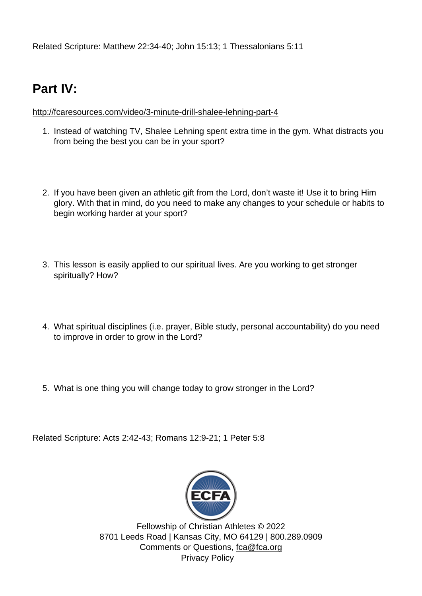Related Scripture: Matthew 22:34-40; John 15:13; 1 Thessalonians 5:11

### Part IV:

http://fcaresources.com/video/3-minute-drill-shalee-lehning-part-4

- 1. Instead of watching TV, Shalee Lehning spent extra time in the gym. What distracts you [from being the best you can be in your sport?](http://fcaresources.com/video/3-minute-drill-shalee-lehning-part-4)
- 2. If you have been given an athletic gift from the Lord, don't waste it! Use it to bring Him glory. With that in mind, do you need to make any changes to your schedule or habits to begin working harder at your sport?
- 3. This lesson is easily applied to our spiritual lives. Are you working to get stronger spiritually? How?
- 4. What spiritual disciplines (i.e. prayer, Bible study, personal accountability) do you need to improve in order to grow in the Lord?
- 5. What is one thing you will change today to grow stronger in the Lord?

Related Scripture: Acts 2:42-43; Romans 12:9-21; 1 Peter 5:8

Fellowship o[f Christian Ath](http://www.ecfa.org/)letes © 2022 8701 Leeds Road | Kansas City, MO 64129 | 800.289.0909 Comments or Questions, fca@fca.org Privacy Policy